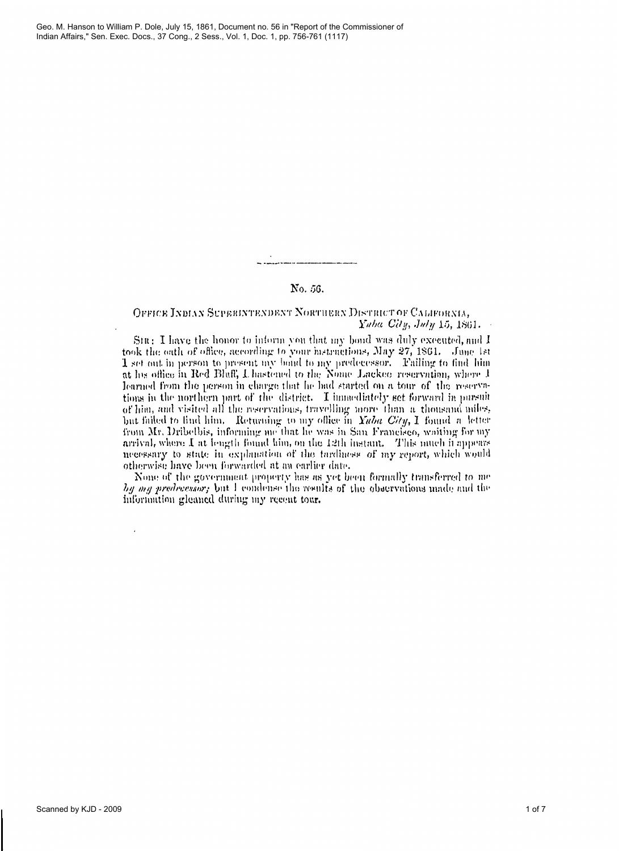# No. 56.

# OFFICE INDIAN SUPERINTENDENT NORTHERN DISTRICT OF CALIFORNIA, Yaha City, July 15, 1861.

Sin: I have the honor to inform you that my bond was duly excented, and I took the oath of office, according to your instructions, May 27, 1861. June 1st 1 set out in person to present my bond to my predecessor. Failing to find him at his office in Red Bluff, I, hastened to the Nome Lackee reser learned from the person in charge that he had started on a tour of the reservations in the northern part of the district. I immediately set forward in pursuit of him, and visited all the reservations, travelling more than a thousand miles. but failed to find him. Returning to my office in Yaba City, I found a letter from Mr. Dribelbis, informing me that he was in San Francisco, waiting for my arrival, where I at length found him, on the 12th instant. This much it appears necessary to state in explanation of the tardiness of my report, which would otherwise have been forwarded at an earlier date.

None of the government property has as yet been formally transferred to me by my predecessor, but I condense the results of the observations made and the information gleaned during my recent tour.

 $\overline{a}$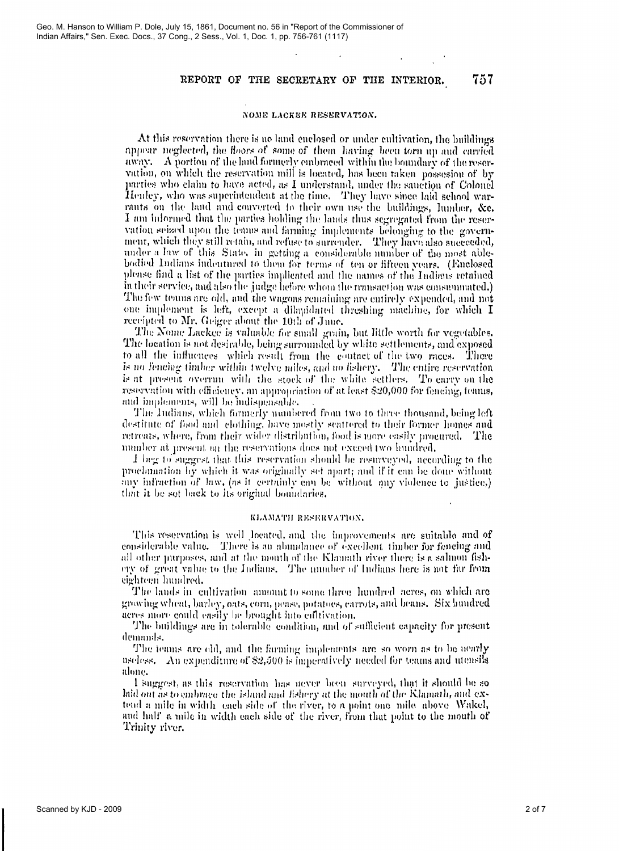757

## NOME LACKEE RESERVATION.

At this reservation there is no land enclosed or under cultivation, the buildings appear neglected, the floors of some of them having been torn up and carried away. A portion of the land formerly embraced within the boundary of the reservation, on which the reservation mill is located, has been taken possesion of by parties who claim to have acted, as I understand, under the sauction of Colonel Henley, who was superintendent at the time. They have since laid school warrants on the land and converted to their own use the buildings, lumber, &c. I am informed that the parties holding the lands thus segregated from the reservation seized upon the teams and farming implements belonging to the government, which they still retain, and refuse to surrender. They have also succeeded, under a law of this State, in getting a considerable number of the most ablebodied Indians indentured to them for terms of ten or fifteen years. (Enclosed please find a list of the parties implicated and the names of the Indians retained in their service, and also the judge before whom the transaction was consummated.) The few teams are old, and the wagons remaining are entirely expended, and not one implement is left, except a dilapidated threshing machine, for which I receipted to Mr. Geiger about the 10th of June.

The Nome Lackee is valuable for small grain, but little worth for vegetables. The location is not desirable, being surrounded by white settlements, and exposed to all the influences which result from the contact of the two races. There is no fencing timber within twelve miles, and no fishery. The entire reservation is at present overrun with the stock of the white settlers. To carry on the reservation with efficiency, an appropriation of at least \$20,000 for fencing, teams, and implements, will be indispensable.

The Indians, which formerly numbered from two to three thousand, being left destitute of food and clothing, have mostly scattered to their former homes and retreats, where, from their wider distribution, food is more easily procured. The number at present on the reservations does not exceed two hundred.

I her to suggest that this reservation should be resurveyed, according to the proclamation by which it was originally set apart; and if it can be done without any infraction of law, (as it certainly can be without any violence to justice.) that it be set back to its original boundaries.

## KLAMATH RESERVATION.

This reservation is well located, and the improvements are suitable and of considerable value. There is an abundance of excellent timber for fencing and all other purposes, and at the mouth of the Klamath river there is a salmon fishery of great value to the Indians. The number of Indians here is not far from eighteen hundred.

The lands in cultivation amount to some three hundred acres, on which are growing wheat, barley, oats, corn, pease, potatoes, carrots, and beans. Six hundred acres more could easily be brought into cultivation.

The buildings are in tolerable condition, and of sufficient capacity for present demands.

The teams are old, and the farming implements are so worn as to be nearly useless. An expenditure of \$2,500 is imperatively needed for teams and utensils alone.

I suggest, as this reservation has never been surveyed, that it should be so laid out as to embrace the island and fishery at the mouth of the Klamath, and extend a mile in width each side of the river, to a point one mile above Wakel, and half a mile in width each side of the river, from that point to the mouth of Trinity river.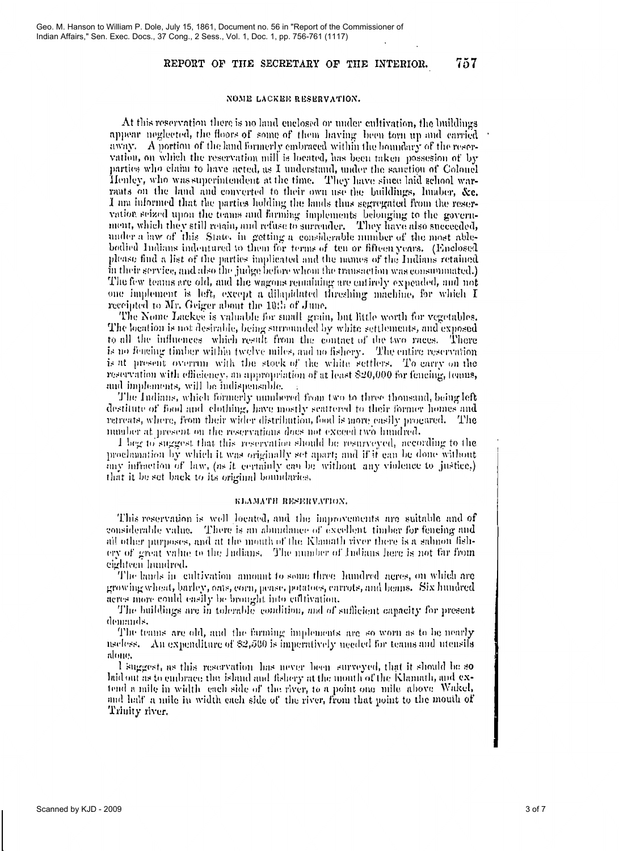757

NOME LACKER RESERVATION.

At this reservation there is no land enclosed or under cultivation, the buildings appear neglected, the floors of some of them having been torn up and carried away. A portion of the land formerly embraced within the boundary of the reservation, on which the reservation mill is located, has been taken possesion of by parties who claim to have acted, as I understand, under the sanction of Colonel Henley, who was superintendent at the time. They have since laid school warrants on the land and converted to their own use the buildings, lumber, &c. I am informed that the parties holding the lands thus segregated from the reservation seized upon the teams and farming implements belonging to the government, which they still retain, and refuse to surrender. They have also succeeded, under a law of this State, in getting a considerable number of the most ablebodied Indians indentured to them for terms of ten or fifteen years. (Enclosed please find a list of the parties implicated and the names of the Indians retained in their service, and also the judge before whom the transaction was consummated.) The few teams are old, and the wagons remaining are entirely expended, and not one implement is left, except a dilapidated threshing machine, for which I receipted to Mr. Geiger about the 10th of June.

The Nome Lackee is valuable for small grain, but little worth for vegetables. The location is not desirable, being surrounded by white settlements, and exposed to all the influences which result from the contact of the two races. There is no feacing timber within twelve miles, and no fishery. The entire reservation is at present overrun with the stock of the white settlers. To carry on the reservation with efficiency, an appropriation of at least \$20,000 for fencing, leans, and implements, will be indispensable.

The Indians, which formerly numbered from two to three thousand, being left destitute of food and clothing, have mostly scattered to their former homes and retreats, where, from their wider distribution, food is more easily procured. The number at present on the reservations does not exceed two hundred.

I beg to suggest that this reservation should be resurveyed, according to the proclamation by which it was originally set apart; and if it can be done without any infraction of law, (as it certainly can be without any violence to justice.) that it be set back to its original boundaries.

### KLAMATH RESERVATION.

This reservation is well located, and the improvements are suitable and of considerable value. There is an abundance of excellent timber for fencing and all other purposes, and at the mouth of the Klamath river there is a salmon fishery of great value to the Indians. The number of Indians here is not far from eighteen hundred.

The lands in cultivation amount to some three hundred acres, on which are growing wheat, barley, oats, corn, pease, potatoes, carrots, and beans. Six hundred acres more could easily be brought into cultivation.

The buildings are in tolerable condition, and of sufficient capacity for present demands,

The teams are old, and the farming implements are so worn as to be nearly useless. An expenditure of  $$2,500$  is imperatively needed for teams and utensils alone,

I suggest, as this reservation has never been surveyed, that it should be so baid out as to embrace the island and fishery at the mouth of the Klamath, and extend a mile in width each side of the river, to a point one mile above. Wakel, and half a mile in width each side of the river, from that point to the mouth of Trinity river.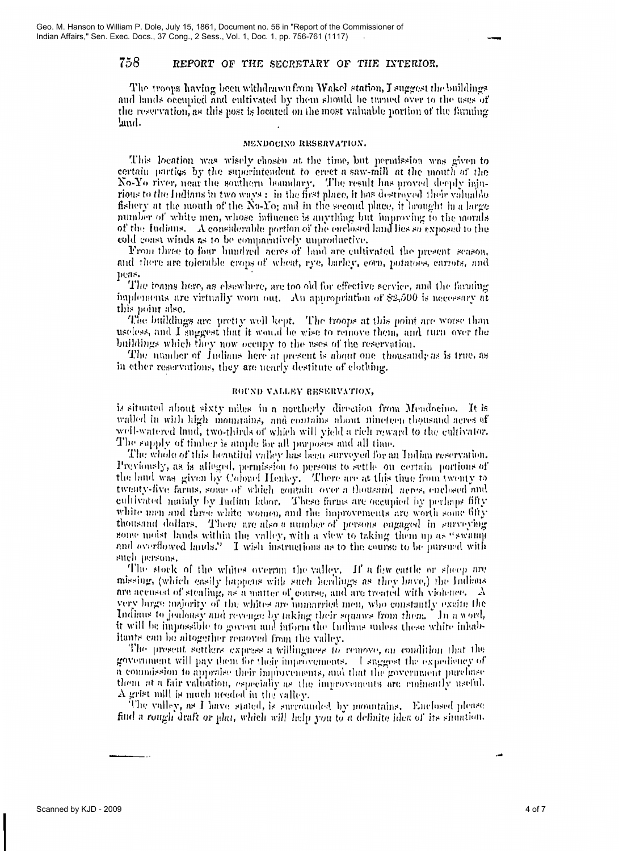The troops having been withdrawn from Wakel station, I suggest the buildings and lands occupied and cultivated by them should be turned over to the uses of the reservation, as this post is located on the most valuable portion of the farming land.

## MENDOCINO RESERVATION.

This location was wisely chosen at the time, but permission was given to certain parties by the superintendent to creet a saw-mill at the mouth of the No-Yo river, near the southern boundary. The result has proved deeply injurious to the Indians in two ways : in the first place, it has destroyed their valuable fishery at the mouth of the No-Yo; and in the second place, it brought in a large number of white men, whose influence is anything but improving to the morals of the Indians. A considerable portion of the enclosed land lies so exposed to the cold coast winds as to be comparatively unproductive.

From three to four hundred neres of land are cultivated the present season, and there are tolerable crops of wheat, rye, barley, corn, potatoes, carrots, and peas.

The teams here, as elsewhere, are too old for effective service, and the farming implements are virtually worn out. An appropriation of \$2,500 is necessary at this point also.

The buildings are pretty well kept. The troops at this point are worse than useless, and I suggest that it would be wise to remove them, and turn over the buildings which they now occupy to the uses of the reservation.

The number of Indians here at present is about one thousand, as is true, as in other reservations, they are nearly destitute of clothing.

## ROUND VALLEY RESERVATION,

is situated about sixty miles in a northerly direction from Mendocino. It is walled in with high mountains, and contains about nineteen thousand acres of well-watered land, two-thirds of which will yield a rich reward to the cultivator. The supply of timber is ample for all purposes and all time.

The whole of this beautiful valley has been surveyed for an Indian reservation. Previously, as is alleged, permission to persons to settle on certain portions of the land was given by Colonel Henley. There are at this thue from twenty to twenty-five farms, some of which contain over a thousand neres, enclosed and cultivated mainly by Indian Jabor. These farms are occupied by perhaps fifty white men and three white women, and the improvements are worth some fifty thousand dollars. There are also a number of persons engaged in surveying some moist lands within the valley, with a view to taking them up as "swamp and overflowed lands." I wish instructions as to the course to be pursued with such persons.

The stock of the whites overrun the valley. If a few cattle or sheep are missing, (which easily happens with such herdings as they have,) the Indians are accused of stealing, as a matter of course, and are treated with violence.  $\Lambda$ very large majority of the whites are unmarried men, who constantly excite the Indians to jealousy and revenge by taking their squaws from them. In a word, it will be impossible to govern and inform the Indians unless these white inhabitants can be altogether removed from the valley.

The present settlers express a willingness to remove, on condition that the government will pay them for their improvements. I suggest the expediency of a commission to appraise their improvements, and that the government purchase them at a fair valuation, especially as the improvements are eminently useful. A grist mill is much needed in the valley.

The valley, as I have stated, is surrounded by mountains. Enclosed please find a rough draft or plat, which will help you to a definite idea of its situation.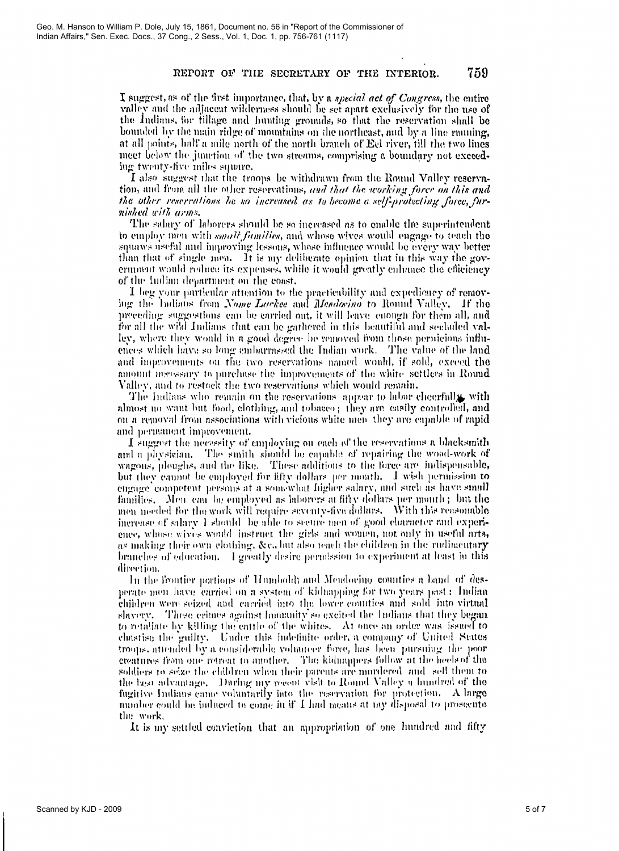I suggest, as of the first importance, that, by a *special act of Congress*, the entire valley and the adjacent wilderness should be set apart exclusively for the use of the Indians, for fillage and hunting grounds, so that the reservation shall be bounded by the main ridge of mountains on the northeast, and by a line running, at all points, half a mile north of the north branch of Ecl river, till the two lines meet below the junction of the two streams, comprising a boundary not exceeding twenty-five miles square.

I also suggest that the troops be withdrawn from the Round Valley reservation, and from all the other reservations, and that the working force on this and the other reservations be so increased as to become a self-protecting force, furnished with arms.

The salary of laborers should be so increased as to enable the superintendent to employ men with *small families*, and whose wives would engage to teach the squaws useful and improving lessons, whose influence would be every way better than that of single men. It is my deliberate opinion that in this way the goverminant would reduce its expenses, while it would greatly enhance the efficiency of the Indian department on the coast.

I beg your particular attention to the practicability and expediency of removing the Indians from Nome Lackee and Mendocino to Round Valley. If the preceding suggestions can be carried out, it will leave enough for them all, and for all the wild Indians that can be gathered in this beautiful and secluded vallev, where they would in a good degree be removed from those permicious influences which have so long embarrassed the Indian work. The value of the land and improvements on the two reservations named would, if sold, exceed the amount meessary to purchase the improvements of the white settlers in Round Valley, and to restock the two reservations which would remain.

The Indians who remain on the reservations appear to labor cheerfully with almost no want but food, clothing, and tobacco; they are casily controlled, and on a removal from associations with vicious white men they are enpable of rapid and permanent improvement.

I suggest the necessity of employing on each of the reservations a blacksmith and a physician. The smith should be capable of repairing the wood-work of wagons, ploughs, and the like. These additions to the force are indispensable, but they cannot be employed for fifty dollars per month. I wish permission to engage competent persons at a somewhat higher salary, and such as have small families. Men can be employed as laborers at fifty dollars per month ; but the men needed for the work will require seventy-five dollars. With this reasonable increase of salary 1 should be able to secure men of good character and experience, whose wives would instruct the girls and women, not only in useful arts, as making their own elothing. &c., but also teach the children in the rudimentary branches of education. If greatly desire permission to experiment at least in this direction.

In the frontier portions of Humboldt and Mendocino counties a band of desperate men have carried on a system of kidnapping for two years past: Indian children were seized and carried into the lower counties and sold into virtual slayery. These crimes against humanity so excited the Indians that they began to retaliate by killing the cattle of the whites. At once an order was issued to chastise the guilty. Under this indefinite order, a company of United States troops, attended by a considerable volunteer force, has been pursuing the poor creatures from one retreat to another. The kidnappers follow at the heels of the soldiers to seize the children when their parents are murdered and sell them to the best advantage. During my recent visit to Round Valley a hundred of the fugitive Indians came voluntarily into the reservation for protection. A large number could be induced to come in if I had means at my disposal to prosecute the work.

It is my settled conviction that an appropriation of one hundred and fifty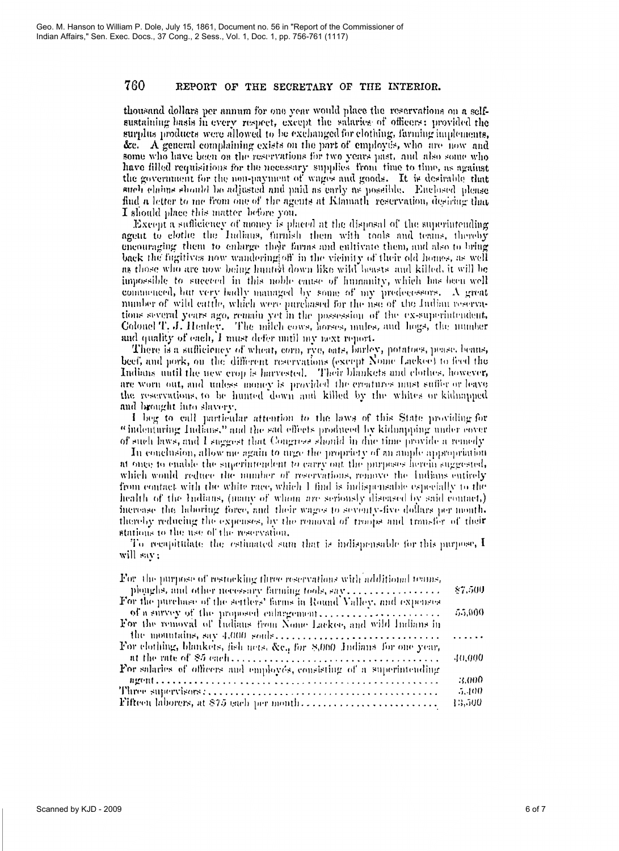thousand dollars per annum for one year would place the reservations on a selfsustaining basis in every respect, except the salaries of officers; provided the surplus products were allowed to be exchanged for clothing, farming implements, &c. A general complaining exists on the part of employers, who are now and some who have been on the reservations for two years past, and also some who have filled requisitions for the necessary supplies from time to time, as against the government for the non-payment of wages and goods. It is desirable that such claims should be adjusted and paid as early as possible. Enclosed please find a letter to me from one of the agents at Klamath reservation, desiring that I should place this matter before you.

Except a sufficiency of money is placed at the disposal of the superintending agent to clothe the Indians, furnish them with tools and teams, thereby encouraging them to enlarge their farms and cultivate them, and also to bring back the fugitives now wandering off in the vicinity of their old homes, as well as those who are now being hunted down like wild beasts and killed, it will be impossible to succeed in this noble cause of humanity, which has been well commenced, but very badly managed by some of my predecessors. A great number of wild cattle, which were purchased for the use of the Judian reservations several years ago, remain yet in the possession of the ex-superintendent, Colonel T. J. Henley. The milch cows, horses, mules, and hogs, the number and quality of each, I must defer until my next report.

There is a sufficiency of wheat, corn, rve, oats, barley, potatoes, pease, beans, beef, and pork, on the different reservations (except Nome Lackee) to feed the Indians until the new crop is harvested. Their blankets and clothes, however, are worn out, and unless money is provided the creatures must suffer or leave the reservations, to be hunted down and killed by the whites or kidnapped and brought into shivery.

I beg to call particular attention to the laws of this State providing for "indenturing Indians." and the sad effects produced by kidnapping under cover of such laws, and I suggest that Congress should in due time provide a remedy

In conclusion, allow me again to urge the propriety of an ample appropriation at once to enable the superintendent to carry out the purposes herein suggested, which would reduce the number of reservations, remove the Indians entirely from contact with the white race, which 1 find is indispensable especially to the health of the Indians, (nany of whom are serionsly diseased by said contact,) increase the laboring force, and their wages to seventy-five dollars per month, thereby reducing the expenses, by the removal of troops and transfer of their stations to the use of the reservation.

To recupitulate the estimated sum that is indispensable for this purpose,  $I$ will say;

| For the purpose of restocking three reservations with additional tenns, |         |
|-------------------------------------------------------------------------|---------|
| plonghs, and other necessary farming tools, say                         | \$7,500 |
| For the purchase of the settlers' farms in Round Valley, and expenses   |         |
| of a survey of the proposed culargement                                 | 55,000  |
| For the removal of Indians from Nome Lackee, and wild Indians in        |         |
|                                                                         | .       |
| For elothing, blankets, fish nets, &c., for 8,000 Indians for one year, |         |
|                                                                         | 40,000  |
| For sularies of officers and employes, consisting of a superintending   |         |
|                                                                         | 3.000   |
|                                                                         | 5,400   |
| Fifteen laborers, at \$75 each per month                                | 13,500  |